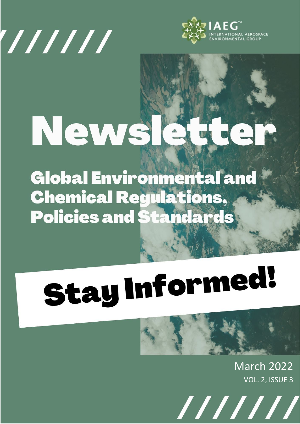



# News  $\triangle$

**Global Environmental and Chemical Regulations, Policies and Standards** 

# **Stay Informed!**

March 2022 VOL. 2, ISSUE 3

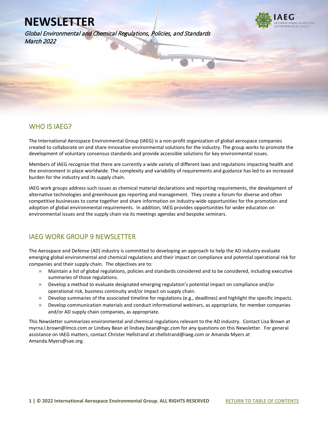Global Environmental and Chemical Regulations, Policies, and Standards March 2022



#### WHO IS IAEG?

l

The International Aerospace Environmental Group (IAEG) is a non-profit organization of global aerospace companies created to collaborate on and share innovative environmental solutions for the industry. The group works to promote the development of voluntary consensus standards and provide accessible solutions for key environmental issues.

Members of IAEG recognize that there are currently a wide variety of different laws and regulations impacting health and the environment in place worldwide. The complexity and variability of requirements and guidance has led to an increased burden for the industry and its supply chain.

IAEG work groups address such issues as chemical material declarations and reporting requirements, the development of alternative technologies and greenhouse gas reporting and management. They create a forum for diverse and often competitive businesses to come together and share information on industry-wide opportunities for the promotion and adoption of global environmental requirements. In addition, IAEG provides opportunities for wider education on environmental issues and the supply chain via its meetings agendas and bespoke seminars.

#### IAEG WORK GROUP 9 NEWSLETTER

The Aerospace and Defense (AD) industry is committed to developing an approach to help the AD industry evaluate emerging global environmental and chemical regulations and their impact on compliance and potential operational risk for companies and their supply chain. The objectives are to:

- **»** Maintain a list of global regulations, policies and standards considered and to be considered, including executive summaries of those regulations.
- **»** Develop a method to evaluate designated emerging regulation's potential impact on compliance and/or operational risk, business continuity and/or impact on supply chain.
- **»** Develop summaries of the associated timeline for regulations (e.g., deadlines) and highlight the specific impacts.
- **»** Develop communication materials and conduct informational webinars, as appropriate, for member companies and/or AD supply chain companies, as appropriate.

This Newsletter summarizes environmental and chemical regulations relevant to the AD industry. Contact Lisa Brown at myrna.l.brown@lmco.com or Lindsey Bean at lindsey.bean@ngc.com for any questions on this Newsletter. For general assistance on IAEG matters, contact Christer Hellstrand at chellstrand@iaeg.com or Amanda Myers at Amanda.Myers@sae.org.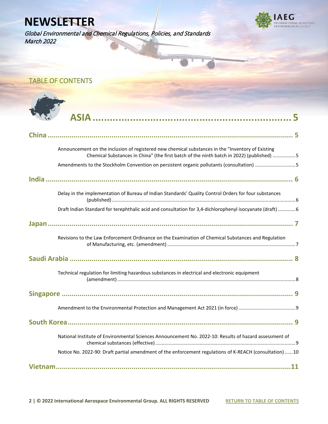Global Environmental and Chemical Regulations, Policies, and Standards March 2022



<span id="page-2-0"></span>

| <b>TABLE OF CONTENTS</b>                                                                                                                                                                      |
|-----------------------------------------------------------------------------------------------------------------------------------------------------------------------------------------------|
|                                                                                                                                                                                               |
|                                                                                                                                                                                               |
|                                                                                                                                                                                               |
|                                                                                                                                                                                               |
| Announcement on the inclusion of registered new chemical substances in the "Inventory of Existing<br>Chemical Substances in China" (the first batch of the ninth batch in 2022) (published) 5 |
| Amendments to the Stockholm Convention on persistent organic pollutants (consultation) 5                                                                                                      |
|                                                                                                                                                                                               |
| Delay in the implementation of Bureau of Indian Standards' Quality Control Orders for four substances                                                                                         |
| Draft Indian Standard for terephthalic acid and consultation for 3,4-dichlorophenyl isocyanate (draft) 6                                                                                      |
|                                                                                                                                                                                               |
| Revisions to the Law Enforcement Ordinance on the Examination of Chemical Substances and Regulation                                                                                           |
|                                                                                                                                                                                               |
| Technical regulation for limiting hazardous substances in electrical and electronic equipment                                                                                                 |
|                                                                                                                                                                                               |
|                                                                                                                                                                                               |
|                                                                                                                                                                                               |
| National Institute of Environmental Sciences Announcement No. 2022-10: Results of hazard assessment of                                                                                        |
| Notice No. 2022-90: Draft partial amendment of the enforcement regulations of K-REACH (consultation) 10                                                                                       |
|                                                                                                                                                                                               |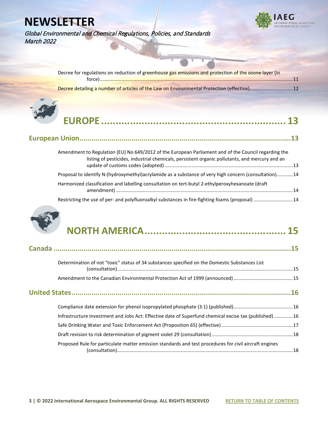Global Environmental and Chemical Regulations, Policies, and Standards March 2022



| Decree for regulations on reduction of greenhouse gas emissions and protection of the ozone layer (in |  |
|-------------------------------------------------------------------------------------------------------|--|
|                                                                                                       |  |
|                                                                                                       |  |



|--|

| Amendment to Regulation (EU) No 649/2012 of the European Parliament and of the Council regarding the<br>listing of pesticides, industrial chemicals, persistent organic pollutants, and mercury and an |  |
|--------------------------------------------------------------------------------------------------------------------------------------------------------------------------------------------------------|--|
| Proposal to identify N-(hydroxymethyl)acrylamide as a substance of very high concern (consultation)14                                                                                                  |  |
| Harmonized classification and labelling consultation on tert-butyl 2-ethylperoxyhexanoate (draft                                                                                                       |  |
| Restricting the use of per- and polyfluoroalkyl substances in fire-fighting foams (proposal) 14                                                                                                        |  |



| Determination of not "toxic" status of 34 substances specified on the Domestic Substances List         |  |
|--------------------------------------------------------------------------------------------------------|--|
|                                                                                                        |  |
|                                                                                                        |  |
|                                                                                                        |  |
| Infrastructure Investment and Jobs Act: Effective date of Superfund chemical excise tax (published) 16 |  |
|                                                                                                        |  |
|                                                                                                        |  |
| Proposed Rule for particulate matter emission standards and test procedures for civil aircraft engines |  |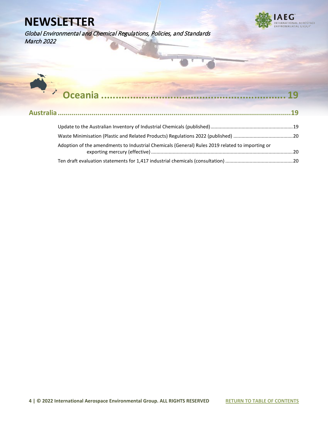Global Environmental and Chemical Regulations, Policies, and Standards March 2022



# **[Oceania ................................................................](#page-19-0) [19](#page-19-0)**

| Adoption of the amendments to Industrial Chemicals (General) Rules 2019 related to importing or |  |
|-------------------------------------------------------------------------------------------------|--|
|                                                                                                 |  |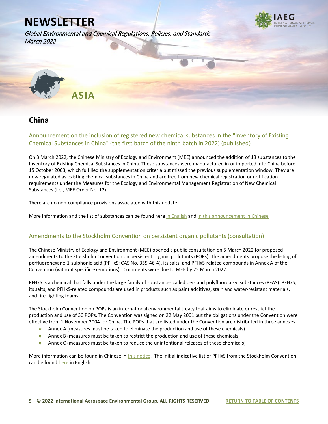Global Environmental and Chemical Regulations, Policies, and Standards March 2022



<span id="page-5-0"></span> **ASIA** 

#### <span id="page-5-1"></span>**China**

#### <span id="page-5-2"></span>Announcement on the inclusion of registered new chemical substances in the "Inventory of Existing Chemical Substances in China" (the first batch of the ninth batch in 2022) (published)

On 3 March 2022, the Chinese Ministry of Ecology and Environment (MEE) announced the addition of 18 substances to the Inventory of Existing Chemical Substances in China. These substances were manufactured in or imported into China before 15 October 2003, which fulfilled the supplementation criteria but missed the previous supplementation window. They are now regulated as existing chemical substances in China and are free from new chemical registration or notification requirements under the Measures for the Ecology and Environmental Management Registration of New Chemical Substances (i.e., MEE Order No. 12).

There are no non-compliance provisions associated with this update.

More information and the list of substances can be found her[e in English](https://www.iaeg.com/binaries/content/assets/iaeg-newsletters/2022/03/chn_update-to-iecsc_substance-list_english.pdf) and in [this announcement in](https://www.mee.gov.cn/xxgk2018/xxgk/xxgk01/202203/t20220307_970789.html) Chinese

#### <span id="page-5-3"></span>Amendments to the Stockholm Convention on persistent organic pollutants (consultation)

The Chinese Ministry of Ecology and Environment (MEE) opened a public consultation on 5 March 2022 for proposed amendments to the Stockholm Convention on persistent organic pollutants (POPs). The amendments propose the listing of perfluorohexane-1-sulphonic acid (PFHxS; CAS No. 355-46-4), its salts, and PFHxS-related compounds in Annex A of the Convention (without specific exemptions). Comments were due to MEE by 25 March 2022.

PFHxS is a chemical that falls under the large family of substances called per- and polyfluoroalkyl substances (PFAS). PFHxS, its salts, and PFHxS-related compounds are used in products such as paint additives, stain and water-resistant materials, and fire-fighting foams.

The Stockholm Convention on POPs is an international environmental treaty that aims to eliminate or restrict the production and use of 30 POPs. The Convention was signed on 22 May 2001 but the obligations under the Convention were effective from 1 November 2004 for China. The POPs that are listed under the Convention are distributed in three annexes:

- **»** Annex A (measures must be taken to eliminate the production and use of these chemicals)
- **»** Annex B (measures must be taken to restrict the production and use of these chemicals)
- **»** Annex C (measures must be taken to reduce the unintentional releases of these chemicals)

More information can be found in Chinese i[n this notice.](http://www.mee.gov.cn/ywgz/gtfwyhxpgl/gnlygz/dtdt/202203/t20220305_970686.shtml) The initial indicative list of PFHxS from the Stockholm Convention can be foun[d here](https://www.iaeg.com/binaries/content/assets/iaeg-newsletters/2022/03/chn_indicative-list-of-pfhxs-its-salts-and-pfhxs-related-compounds.pdf) in English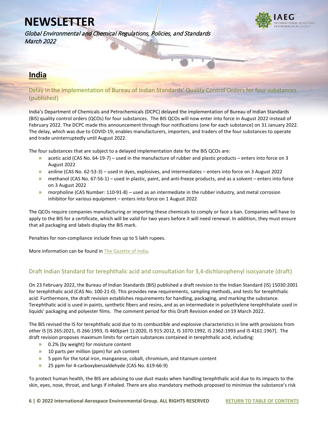Global Environmental and Chemical Regulations, Policies, and Standards March 2022

#### <span id="page-6-0"></span>**India**

<span id="page-6-1"></span>Delay in the implementation of Bureau of Indian Standards' Quality Control Orders for four substances (published)

India's Department of Chemicals and Petrochemicals (DCPC) delayed the implementation of Bureau of Indian Standards (BIS) quality control orders (QCOs) for four substances. The BIS QCOs will now enter into force in August 2022 instead of February 2022. The DCPC made this announcement through four notifications (one for each substance) on 31 January 2022. The delay, which was due to COVID-19, enables manufacturers, importers, and traders of the four substances to operate and trade uninterruptedly until August 2022.

The four substances that are subject to a delayed implementation date for the BIS QCOs are:

- **»** acetic acid (CAS No. 64-19-7) used in the manufacture of rubber and plastic products enters into force on 3 August 2022
- **»** aniline (CAS No. 62-53-3) used in dyes, explosives, and intermediates enters into force on 3 August 2022
- **»** methanol (CAS No. 67-56-1) used in plastic, paint, and anti-freeze products, and as a solvent enters into force on 3 August 2022
- **»** morpholine (CAS Number: 110-91-8) used as an intermediate in the rubber industry, and metal corrosion inhibitor for various equipment – enters into force on 1 August 2022

The QCOs require companies manufacturing or importing these chemicals to comply or face a ban. Companies will have to apply to the BIS for a certificate, which will be valid for two years before it will need renewal. In addition, they must ensure that all packaging and labels display the BIS mark.

Penalties for non-compliance include fines up to 5 lakh rupees.

More information can be found i[n The Gazette of India.](https://www.iaeg.com/binaries/content/assets/iaeg-newsletters/2022/03/ind_qcos-for-four-substances.pdf) 

#### <span id="page-6-2"></span>Draft Indian Standard for terephthalic acid and consultation for 3,4-dichlorophenyl isocyanate (draft)

On 23 February 2022, the Bureau of Indian Standards (BIS) published a draft revision to the Indian Standard (IS) 15030:2001 for terephthalic acid (CAS No. 100-21-0). This provides new requirements, sampling methods, and tests for terephthalic acid. Furthermore, the draft revision establishes requirements for handling, packaging, and marking the substance. Terephthalic acid is used in paints, synthetic fibers and resins, and as an intermediate in polyethylene terephthalate used in liquids' packaging and polyester films. The comment period for this Draft Revision ended on 19 March 2022.

The BIS revised the IS for terephthalic acid due to its combustible and explosive characteristics in line with provisions from other IS [IS 265:2021, IS 266:1993, IS 460(part 1):2020, IS 915:2012, IS 1070:1992, IS 2362:1993 and IS 4161:1967]. The draft revision proposes maximum limits for certain substances contained in terephthalic acid, including:

- **»** 0.2% (by weight) for moisture content
- **»** 10 parts per million (ppm) for ash content
- **»** 5 ppm for the total iron, manganese, cobalt, chromium, and titanium content
- **»** 25 ppm for 4-carboxybenzaldehyde (CAS No. 619-66-9)

To protect human health, the BIS are advising to use dust masks when handling terephthalic acid due to its impacts to the skin, eyes, nose, throat, and lungs if inhaled. There are also mandatory methods proposed to minimize the substance's risk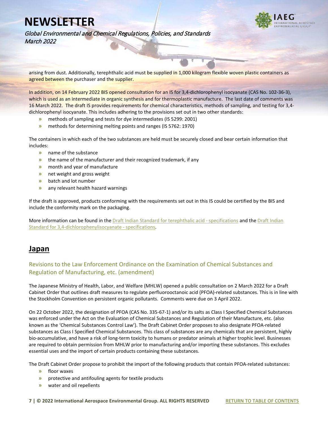

Global Environmental and Chemical Regulations, Policies, and Standards March 2022

arising from dust. Additionally, terephthalic acid must be supplied in 1,000 kilogram flexible woven plastic containers as agreed between the purchaser and the supplier.

In addition, on 14 February 2022 BIS opened consultation for an IS for 3,4-dichlorophenyl isocyanate (CAS No. 102-36-3), which is used as an intermediate in organic synthesis and for thermoplastic manufacture. The last date of comments was 16 March 2022. The draft IS provides requirements for chemical characteristics, methods of sampling, and testing for 3,4 dichlorophenyl isocyanate. This includes adhering to the provisions set out in two other standards:

- **»** methods of sampling and tests for dye intermediates (IS 5299: 2001)
- **»** methods for determining melting points and ranges (IS 5762: 1970)

The containers in which each of the two substances are held must be securely closed and bear certain information that includes:

- **»** name of the substance
- **»** the name of the manufacturer and their recognized trademark, if any
- **»** month and year of manufacture
- **»** net weight and gross weight
- **»** batch and lot number
- **»** any relevant health hazard warnings

If the draft is approved, products conforming with the requirements set out in this IS could be certified by the BIS and include the conformity mark on the packaging.

More information can be found in the **Draft Indian Standard for terephthalic acid** - specifications and the **Draft Indian** [Standard for 3,4-dichlorophenylisocyanate - specifications.](https://www.iaeg.com/binaries/content/assets/iaeg-newsletters/2022/03/ind_draft-is-for-34-dichlorophenylisocyanate.pdf)

#### <span id="page-7-0"></span>**Japan**

#### <span id="page-7-1"></span>Revisions to the Law Enforcement Ordinance on the Examination of Chemical Substances and Regulation of Manufacturing, etc. (amendment)

The Japanese Ministry of Health, Labor, and Welfare (MHLW) opened a public consultation on 2 March 2022 for a Draft Cabinet Order that outlines draft measures to regulate perfluorooctanoic acid (PFOA)-related substances. This is in line with the Stockholm Convention on persistent organic pollutants. Comments were due on 3 April 2022.

On 22 October 2022, the designation of PFOA (CAS No. 335-67-1) and/or its salts as Class I Specified Chemical Substances was enforced under the Act on the Evaluation of Chemical Substances and Regulation of their Manufacture, etc. (also known as the 'Chemical Substances Control Law'). The Draft Cabinet Order proposes to also designate PFOA-related substances as Class I Specified Chemical Substances. This class of substances are any chemicals that are persistent, highly bio-accumulative, and have a risk of long-term toxicity to humans or predator animals at higher trophic level. Businesses are required to obtain permission from MHLW prior to manufacturing and/or importing these substances. This excludes essential uses and the import of certain products containing these substances.

The Draft Cabinet Order propose to prohibit the import of the following products that contain PFOA-related substances:

- **»** floor waxes
- **»** protective and antifouling agents for textile products
- **»** water and oil repellents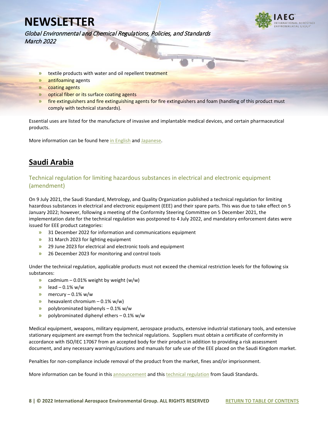

Global Environmental and Chemical Regulations, Policies, and Standards March 2022

- **»** textile products with water and oil repellent treatment
- **»** antifoaming agents
- **»** coating agents
- **»** optical fiber or its surface coating agents
- **»** fire extinguishers and fire extinguishing agents for fire extinguishers and foam (handling of this product must comply with technical standards).

Essential uses are listed for the manufacture of invasive and implantable medical devices, and certain pharmaceutical products.

More information can be found her[e in English](https://www.iaeg.com/binaries/content/assets/iaeg-newsletters/2022/03/jpn_draft-cabinet-order_english.pdf) an[d Japanese.](https://public-comment.e-gov.go.jp/servlet/Public?CLASSNAME=PCMMSTDETAIL&id=595222010&Mode=0)

#### <span id="page-8-0"></span>**Saudi Arabia**

#### <span id="page-8-1"></span>Technical regulation for limiting hazardous substances in electrical and electronic equipment (amendment)

On 9 July 2021, the Saudi Standard, Metrology, and Quality Organization published a technical regulation for limiting hazardous substances in electrical and electronic equipment (EEE) and their spare parts. This was due to take effect on 5 January 2022; however, following a meeting of the Conformity Steering Committee on 5 December 2021, the implementation date for the technical regulation was postponed to 4 July 2022, and mandatory enforcement dates were issued for EEE product categories:

- **»** 31 December 2022 for information and communications equipment
- **»** 31 March 2023 for lighting equipment
- **»** 29 June 2023 for electrical and electronic tools and equipment
- **»** 26 December 2023 for monitoring and control tools

Under the technical regulation, applicable products must not exceed the chemical restriction levels for the following six substances:

- **»** cadmium 0.01% weight by weight (w/w)
- **»** lead 0.1% w/w
- **»** mercury 0.1% w/w
- **»** hexavalent chromium 0.1% w/w)
- **»** polybrominated biphenyls 0.1% w/w
- **»** polybrominated diphenyl ethers 0.1% w/w

Medical equipment, weapons, military equipment, aerospace products, extensive industrial stationary tools, and extensive stationary equipment are exempt from the technical regulations. Suppliers must obtain a certificate of conformity in accordance with ISO/IEC 17067 from an accepted body for their product in addition to providing a risk assessment document, and any necessary warnings/cautions and manuals for safe use of the EEE placed on the Saudi Kingdom market.

Penalties for non-compliance include removal of the product from the market, fines and/or imprisonment.

More information can be found in thi[s announcement](https://www.iaeg.com/binaries/content/assets/iaeg-newsletters/2022/03/sau_amendment-to-technical-regulation.pdf) and this [technical regulation](https://www.iaeg.com/binaries/content/assets/iaeg-newsletters/2022/03/sau_technical-regulation_english.pdf) from Saudi Standards.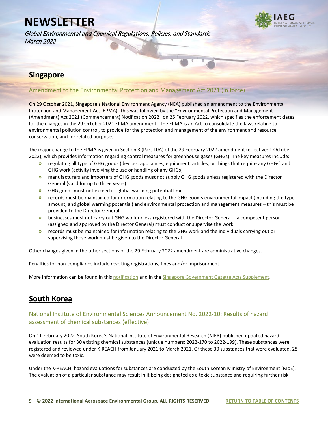Global Environmental and Chemical Regulations, Policies, and Standards March 2022



#### <span id="page-9-0"></span>**Singapore**

#### <span id="page-9-1"></span>Amendment to the Environmental Protection and Management Act 2021 (in force)

On 29 October 2021, Singapore's National Environment Agency (NEA) published an amendment to the Environmental Protection and Management Act (EPMA). This was followed by the "Environmental Protection and Management (Amendment) Act 2021 (Commencement) Notification 2022" on 25 February 2022, which specifies the enforcement dates for the changes in the 29 October 2021 EPMA amendment. The EPMA is an Act to consolidate the laws relating to environmental pollution control, to provide for the protection and management of the environment and resource conservation, and for related purposes.

The major change to the EPMA is given in Section 3 (Part 10A) of the 29 February 2022 amendment (effective: 1 October 2022), which provides information regarding control measures for greenhouse gases (GHGs). The key measures include:

- **»** regulating all type of GHG goods (devices, appliances, equipment, articles, or things that require any GHGs) and GHG work (activity involving the use or handling of any GHGs)
- **»** manufacturers and importers of GHG goods must not supply GHG goods unless registered with the Director General (valid for up to three years)
- **»** GHG goods must not exceed its global warming potential limit
- **»** records must be maintained for information relating to the GHG good's environmental impact (including the type, amount, and global warming potential) and environmental protection and management measures – this must be provided to the Director General
- **»** businesses must not carry out GHG work unless registered with the Director General a competent person (assigned and approved by the Director General) must conduct or supervise the work
- **»** records must be maintained for information relating to the GHG work and the individuals carrying out or supervising those work must be given to the Director General

Other changes given in the other sections of the 29 February 2022 amendment are administrative changes.

Penalties for non-compliance include revoking registrations, fines and/or imprisonment.

More information can be found in thi[s notification](https://sso.agc.gov.sg/SL-Supp/S105-2022/Published/20220225?DocDate=20220225&WholeDoc=1) and in th[e Singapore Government Gazette Acts Supplement.](https://sso.agc.gov.sg/Acts-Supp/24-2021/Published/20211029?DocDate=20211029#pr3-)

#### <span id="page-9-2"></span>**South Korea**

#### <span id="page-9-3"></span>National Institute of Environmental Sciences Announcement No. 2022-10: Results of hazard assessment of chemical substances (effective)

On 11 February 2022, South Korea's National Institute of Environmental Research (NIER) published updated hazard evaluation results for 30 existing chemical substances (unique numbers: 2022-170 to 2022-199). These substances were registered and reviewed under K-REACH from January 2021 to March 2021. Of these 30 substances that were evaluated, 28 were deemed to be toxic.

Under the K-REACH, hazard evaluations for substances are conducted by the South Korean Ministry of Environment (MoE). The evaluation of a particular substance may result in it being designated as a toxic substance and requiring further risk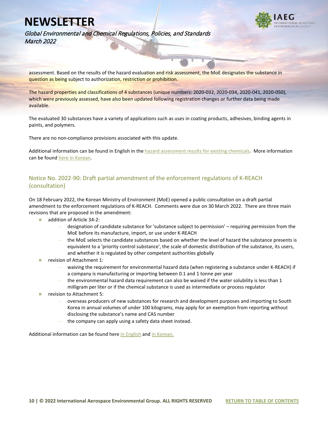

Global Environmental and Chemical Regulations, Policies, and Standards March 2022

assessment. Based on the results of the hazard evaluation and risk assessment, the MoE designates the substance in question as being subject to authorization, restriction or prohibition.

The hazard properties and classifications of 4 substances (unique numbers: 2020-032, 2020-034, 2020-041, 2020-050), which were previously assessed, have also been updated following registration changes or further data being made available.

The evaluated 30 substances have a variety of applications such as uses in coating products, adhesives, binding agents in paints, and polymers.

There are no non-compliance provisions associated with this update.

Additional information can be found in English in th[e hazard assessment results for existing chemicals.](https://www.iaeg.com/binaries/content/assets/iaeg-newsletters/2022/03/kor_hazard-assessment-results_english.pdf) More information can be foun[d here in Korean.](https://www.law.go.kr/%ED%96%89%EC%A0%95%EA%B7%9C%EC%B9%99/%ED%99%94%ED%95%99%EB%AC%BC%EC%A7%88%EC%9D%98%EC%9C%A0%ED%95%B4%EC%84%B1%EC%8B%AC%EC%82%AC%EA%B2%B0%EA%B3%BC)

#### <span id="page-10-0"></span>Notice No. 2022-90: Draft partial amendment of the enforcement regulations of K-REACH (consultation)

On 18 February 2022, the Korean Ministry of Environment (MoE) opened a public consultation on a draft partial amendment to the enforcement regulations of K-REACH. Comments were due on 30 March 2022. There are three main revisions that are proposed in the amendment:

- **»** addition of Article 34-2:
	- **–** designation of candidate substance for 'substance subject to permission' requiring permission from the MoE before its manufacture, import, or use under K-REACH
	- **–** the MoE selects the candidate substances based on whether the level of hazard the substance presents is equivalent to a 'priority control substance', the scale of domestic distribution of the substance, its users, and whether it is regulated by other competent authorities globally
- **»** revision of Attachment 1:
	- **–** waiving the requirement for environmental hazard data (when registering a substance under K-REACH) if a company is manufacturing or importing between 0.1 and 1 tonne per year
	- **–** the environmental hazard data requirement can also be waived if the water solubility is less than 1 milligram per liter or if the chemical substance is used as intermediate or process regulator
- **»** revision to Attachment 5:
	- **–** overseas producers of new substances for research and development purposes and importing to South Korea in annual volumes of under 100 kilograms, may apply for an exemption from reporting without disclosing the substance's name and CAS number
	- **–** the company can apply using a safety data sheet instead.

Additional information can be found here [in English](https://www.iaeg.com/binaries/content/assets/iaeg-newsletters/2022/03/kor_announcment-for-draft-partial-amendment-to-k-reach_english.pdf) and in Korean.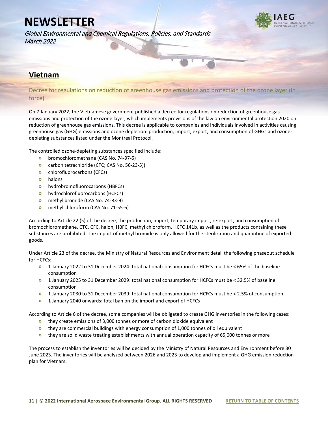

Global Environmental and Chemical Regulations, Policies, and Standards March 2022

#### <span id="page-11-0"></span>**Vietnam**

<span id="page-11-1"></span>Decree for regulations on reduction of greenhouse gas emissions and protection of the ozone layer (in force)

On 7 January 2022, the Vietnamese government published a decree for regulations on reduction of greenhouse gas emissions and protection of the ozone layer, which implements provisions of the law on environmental protection 2020 on reduction of greenhouse gas emissions. This decree is applicable to companies and individuals involved in activities causing greenhouse gas (GHG) emissions and ozone depletion: production, import, export, and consumption of GHGs and ozonedepleting substances listed under the Montreal Protocol.

The controlled ozone-depleting substances specified include:

- **»** bromochloromethane (CAS No. 74-97-5)
- **»** carbon tetrachloride (CTC; CAS No. 56-23-5))
- **»** chlorofluorocarbons (CFCs)
- **»** halons
- **»** hydrobromofluorocarbons (HBFCs)
- **»** hydrochlorofluorocarbons (HCFCs)
- **»** methyl bromide (CAS No. 74-83-9)
- **»** methyl chloroform (CAS No. 71-55-6)

According to Article 22 (5) of the decree, the production, import, temporary import, re-export, and consumption of bromochloromethane, CTC, CFC, halon, HBFC, methyl chloroform, HCFC 141b, as well as the products containing these substances are prohibited. The import of methyl bromide is only allowed for the sterilization and quarantine of exported goods.

Under Article 23 of the decree, the Ministry of Natural Resources and Environment detail the following phaseout schedule for HCFCs:

- **»** 1 January 2022 to 31 December 2024: total national consumption for HCFCs must be < 65% of the baseline consumption
- **»** 1 January 2025 to 31 December 2029: total national consumption for HCFCs must be < 32.5% of baseline consumption
- **»** 1 January 2030 to 31 December 2039: total national consumption for HCFCs must be < 2.5% of consumption
- **»** 1 January 2040 onwards: total ban on the import and export of HCFCs

According to Article 6 of the decree, some companies will be obligated to create GHG inventories in the following cases:

- **»** they create emissions of 3,000 tonnes or more of carbon dioxide equivalent
- **»** they are commercial buildings with energy consumption of 1,000 tonnes of oil equivalent
- **»** they are solid waste treating establishments with annual operation capacity of 65,000 tonnes or more

The process to establish the inventories will be decided by the Ministry of Natural Resources and Environment before 30 June 2023. The inventories will be analyzed between 2026 and 2023 to develop and implement a GHG emission reduction plan for Vietnam.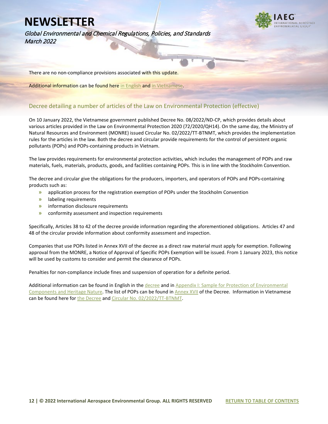Global Environmental and Chemical Regulations, Policies, and Standards March 2022



There are no non-compliance provisions associated with this update.

Additional information can be found here [in English](https://www.iaeg.com/binaries/content/assets/iaeg-newsletters/2022/03/vnm_regulation-on-reducing-ghgs-and-protection-of-ozone-layer_english.pdf) and [in Vietnamese.](https://www.iaeg.com/binaries/content/assets/iaeg-newsletters/2022/03/vnm_regulation-on-reducing-ghgs-and-protection-of-ozone-layer.pdf)

#### <span id="page-12-0"></span>Decree detailing a number of articles of the Law on Environmental Protection (effective)

On 10 January 2022, the Vietnamese government published Decree No. 08/2022/ND-CP, which provides details about various articles provided in the Law on Environmental Protection 2020 (72/2020/QH14). On the same day, the Ministry of Natural Resources and Environment (MONRE) issued Circular No. 02/2022/TT-BTNMT, which provides the implementation rules for the articles in the law. Both the decree and circular provide requirements for the control of persistent organic pollutants (POPs) and POPs-containing products in Vietnam.

The law provides requirements for environmental protection activities, which includes the management of POPs and raw materials, fuels, materials, products, goods, and facilities containing POPs. This is in line with the Stockholm Convention.

The decree and circular give the obligations for the producers, importers, and operators of POPs and POPs-containing products such as:

- **»** application process for the registration exemption of POPs under the Stockholm Convention
- **»** labeling requirements
- **»** information disclosure requirements
- **»** conformity assessment and inspection requirements

Specifically, Articles 38 to 42 of the decree provide information regarding the aforementioned obligations. Articles 47 and 48 of the circular provide information about conformity assessment and inspection.

Companies that use POPs listed in Annex XVII of the decree as a direct raw material must apply for exemption. Following approval from the MONRE, a Notice of Approval of Specific POPs Exemption will be issued. From 1 January 2023, this notice will be used by customs to consider and permit the clearance of POPs.

Penalties for non-compliance include fines and suspension of operation for a definite period.

Additional information can be found in English in th[e decree](https://www.iaeg.com/binaries/content/assets/iaeg-newsletters/2022/03/vnm_decree_english.pdf) and in Appendix I: Sample for Protection of Environmental [Components and Heritage Nature.](https://www.iaeg.com/binaries/content/assets/iaeg-newsletters/2022/03/vnm_circular_english.pdf) The list of POPs can be found in [Annex XVII](https://www.iaeg.com/binaries/content/assets/iaeg-newsletters/2022/03/vnm_list-of-pops-in-annex-xvii-of-the-decree.pdf) of the Decree. Information in Vietnamese can be found here for [the Decree](https://monre.gov.vn/Pages/nghi-dinh-so-082022nd-cp.aspx?cm=V%C4%83n%20b%E1%BA%A3n%20quy%20ph%E1%BA%A1m%20ph%C3%A1p%20lu%E1%BA%ADt) and [Circular No. 02/2022/TT-BTNMT.](https://monre.gov.vn/Pages/thong-tu-so-022022tt-btnmt.aspx?cm=V%C4%83n%20b%E1%BA%A3n%20quy%20ph%E1%BA%A1m%20ph%C3%A1p%20lu%E1%BA%ADt)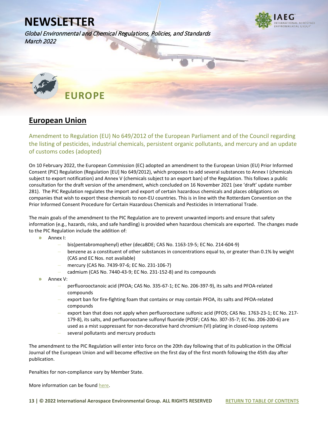Global Environmental and Chemical Regulations, Policies, and Standards March 2022

<span id="page-13-0"></span>

#### <span id="page-13-1"></span>**European Union**

<span id="page-13-2"></span>Amendment to Regulation (EU) No 649/2012 of the European Parliament and of the Council regarding the listing of pesticides, industrial chemicals, persistent organic pollutants, and mercury and an update of customs codes (adopted)

On 10 February 2022, the European Commission (EC) adopted an amendment to the European Union (EU) Prior Informed Consent (PIC) Regulation (Regulation [EU] No 649/2012), which proposes to add several substances to Annex I (chemicals subject to export notification) and Annex V (chemicals subject to an export ban) of the Regulation. This follows a public consultation for the draft version of the amendment, which concluded on 16 November 2021 (see 'draft' update number 281). The PIC Regulation regulates the import and export of certain hazardous chemicals and places obligations on companies that wish to export these chemicals to non-EU countries. This is in line with the Rotterdam Convention on the Prior Informed Consent Procedure for Certain Hazardous Chemicals and Pesticides in International Trade.

The main goals of the amendment to the PIC Regulation are to prevent unwanted imports and ensure that safety information (e.g., hazards, risks, and safe handling) is provided when hazardous chemicals are exported. The changes made to the PIC Regulation include the addition of:

- **»** Annex I:
	- **–** bis(pentabromophenyl) ether (decaBDE; CAS No. 1163-19-5; EC No. 214-604-9)
	- **–** benzene as a constituent of other substances in concentrations equal to, or greater than 0.1% by weight (CAS and EC Nos. not available)
	- **–** mercury (CAS No. 7439-97-6; EC No. 231-106-7)
	- **–** cadmium (CAS No. 7440-43-9; EC No. 231-152-8) and its compounds
- **»** Annex V:
	- **–** perfluorooctanoic acid (PFOA; CAS No. 335-67-1; EC No. 206-397-9), its salts and PFOA-related compounds
	- **–** export ban for fire-fighting foam that contains or may contain PFOA, its salts and PFOA-related compounds
	- **–** export ban that does not apply when perfluorooctane sulfonic acid (PFOS; CAS No. 1763-23-1; EC No. 217- 179-8), its salts, and perfluorooctane sulfonyl fluoride (POSF; CAS No. 307-35-7; EC No. 206-200-6) are used as a mist suppressant for non-decorative hard chromium (VI) plating in closed-loop systems
	- **–** several pollutants and mercury products

The amendment to the PIC Regulation will enter into force on the 20th day following that of its publication in the Official Journal of the European Union and will become effective on the first day of the first month following the 45th day after publication.

Penalties for non-compliance vary by Member State.

More information can be found [here.](https://eur-lex.europa.eu/legal-content/EN/TXT/?uri=PI_COM:C(2022)710&qid=1646407860806)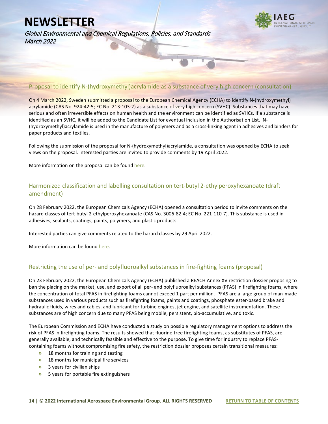Global Environmental and Chemical Regulations, Policies, and Standards March 2022

#### <span id="page-14-0"></span>Proposal to identify N-(hydroxymethyl)acrylamide as a substance of very high concern (consultation)

On 4 March 2022, Sweden submitted a proposal to the European Chemical Agency (ECHA) to identify N-(hydroxymethyl) acrylamide (CAS No. 924-42-5; EC No. 213-103-2) as a substance of very high concern (SVHC). Substances that may have serious and often irreversible effects on human health and the environment can be identified as SVHCs. If a substance is identified as an SVHC, it will be added to the Candidate List for eventual inclusion in the Authorisation List. N- (hydroxymethyl)acrylamide is used in the manufacture of polymers and as a cross-linking agent in adhesives and binders for paper products and textiles.

Following the submission of the proposal for N-(hydroxymethyl)acrylamide, a consultation was opened by ECHA to seek views on the proposal. Interested parties are invited to provide comments by 19 April 2022.

More information on the proposal can be found [here.](https://echa.europa.eu/substances-of-very-high-concern-identification/-/substance-rev/69005/term)

#### <span id="page-14-1"></span>Harmonized classification and labelling consultation on tert-butyl 2-ethylperoxyhexanoate (draft amendment)

On 28 February 2022, the European Chemicals Agency (ECHA) opened a consultation period to invite comments on the hazard classes of tert-butyl 2-ethylperoxyhexanoate (CAS No. 3006-82-4; EC No. 221-110-7). This substance is used in adhesives, sealants, coatings, paints, polymers, and plastic products.

Interested parties can give comments related to the hazard classes by 29 April 2022.

More information can be foun[d here.](https://echa.europa.eu/harmonised-classification-and-labelling-consultation/-/substance-rev/69003/del/50/col/synonymDynamicField_1350/type/desc/pre/1/view)

#### <span id="page-14-2"></span>Restricting the use of per- and polyfluoroalkyl substances in fire-fighting foams (proposal)

On 23 February 2022, the European Chemicals Agency (ECHA) published a REACH Annex XV restriction dossier proposing to ban the placing on the market, use, and export of all per- and polyfluoroalkyl substances (PFAS) in firefighting foams, where the concentration of total PFAS in firefighting foams cannot exceed 1 part per million. PFAS are a large group of man-made substances used in various products such as firefighting foams, paints and coatings, phosphate ester-based brake and hydraulic fluids, wires and cables, and lubricant for turbine engines, jet engine, and satellite instrumentation. These substances are of high concern due to many PFAS being mobile, persistent, bio-accumulative, and toxic.

The European Commission and ECHA have conducted a study on possible regulatory management options to address the risk of PFAS in firefighting foams. The results showed that fluorine-free firefighting foams, as substitutes of PFAS, are generally available, and technically feasible and effective to the purpose. To give time for industry to replace PFAScontaining foams without compromising fire safety, the restriction dossier proposes certain transitional measures:

- **»** 18 months for training and testing
- **»** 18 months for municipal fire services
- **»** 3 years for civilian ships
- **»** 5 years for portable fire extinguishers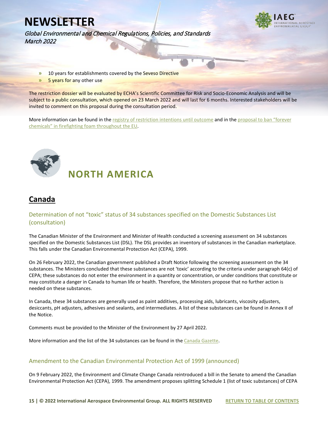

Global Environmental and Chemical Regulations, Policies, and Standards March 2022

- **»** 10 years for establishments covered by the Seveso Directive
- **»** 5 years for any other use

The restriction dossier will be evaluated by ECHA's Scientific Committee for Risk and Socio-Economic Analysis and will be subject to a public consultation, which opened on 23 March 2022 and will last for 6 months. Interested stakeholders will be invited to comment on this proposal during the consultation period.

More information can be found in th[e registry of restriction intentions until outcome](https://echa.europa.eu/hr/registry-of-restriction-intentions/-/dislist/details/0b0236e1856e8ce6?utm_source=echa-weekly&utm_medium=email&utm_campaign=weekly&utm_content=20220119&_cldee=ai5hcm9raWFuYXRoYXJAeW9yZGFzZ3JvdXAuY29t&recipientid=lead-fcaa83859a85eb11812a005056b9310e-d5c546250e5449d5ada4b883c48e8509&esid=d4f14fb4-2d79-ec11-8134-005056b9310e) and in the proposal to ban "forever" [chemicals" in firefighting foam throughout the EU.](https://echa.europa.eu/nl/-/proposal-to-ban-forever-chemicals-in-firefighting-foams-throughout-the-eu) 

<span id="page-15-0"></span>

### **NORTH AMERICA**

#### <span id="page-15-1"></span>**Canada**

#### <span id="page-15-2"></span>Determination of not "toxic" status of 34 substances specified on the Domestic Substances List (consultation)

The Canadian Minister of the Environment and Minister of Health conducted a screening assessment on 34 substances specified on the Domestic Substances List (DSL). The DSL provides an inventory of substances in the Canadian marketplace. This falls under the Canadian Environmental Protection Act (CEPA), 1999.

On 26 February 2022, the Canadian government published a Draft Notice following the screening assessment on the 34 substances. The Ministers concluded that these substances are not 'toxic' according to the criteria under paragraph 64(c) of CEPA; these substances do not enter the environment in a quantity or concentration, or under conditions that constitute or may constitute a danger in Canada to human life or health. Therefore, the Ministers propose that no further action is needed on these substances.

In Canada, these 34 substances are generally used as paint additives, processing aids, lubricants, viscosity adjusters, desiccants, pH adjusters, adhesives and sealants, and intermediates. A list of these substances can be found in Annex II of the Notice.

Comments must be provided to the Minister of the Environment by 27 April 2022.

More information and the list of the 34 substances can be found in th[e Canada Gazette.](https://gazette.gc.ca/rp-pr/p1/2022/2022-02-26/html/notice-avis-eng.html#na1)

#### <span id="page-15-3"></span>Amendment to the Canadian Environmental Protection Act of 1999 (announced)

On 9 February 2022, the Environment and Climate Change Canada reintroduced a bill in the Senate to amend the Canadian Environmental Protection Act (CEPA), 1999. The amendment proposes splitting Schedule 1 (list of toxic substances) of CEPA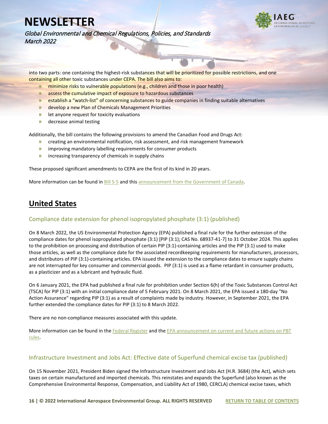Global Environmental and Chemical Regulations, Policies, and Standards March 2022

into two parts: one containing the highest-risk substances that will be prioritized for possible restrictions, and one containing all other toxic substances under CEPA. The bill also aims to:

- **»** minimize risks to vulnerable populations (e.g., children and those in poor health)
- **»** assess the cumulative impact of exposure to hazardous substances
- **»** establish a "watch-list" of concerning substances to guide companies in finding suitable alternatives
- **»** develop a new Plan of Chemicals Management Priorities
- **»** let anyone request for toxicity evaluations
- **»** decrease animal testing

Additionally, the bill contains the following provisions to amend the Canadian Food and Drugs Act:

- **»** creating an environmental notification, risk assessment, and risk management framework
- **»** improving mandatory labelling requirements for consumer products
- **»** increasing transparency of chemicals in supply chains

These proposed significant amendments to CEPA are the first of its kind in 20 years.

More information can be found i[n Bill S-5](https://www.parl.ca/DocumentViewer/en/44-1/bill/S-5/first-reading) and thi[s announcement from the Government of Canada.](https://www.canada.ca/en/environment-climate-change/news/2022/02/government-of-canada-delivers-on-commitment-to-strengthen-the-canadian-environmental-protection-act-1999-and-recognizes-a-right-to-a-healthy-enviro.html)

#### <span id="page-16-0"></span>**United States**

#### <span id="page-16-1"></span>Compliance date extension for phenol isopropylated phosphate (3:1) (published)

On 8 March 2022, the US Environmental Protection Agency (EPA) published a final rule for the further extension of the compliance dates for phenol isopropylated phosphate (3:1) [PIP (3:1); CAS No. 68937-41-7] to 31 October 2024. This applies to the prohibition on processing and distribution of certain PIP (3:1)-containing articles and the PIP (3:1) used to make those articles, as well as the compliance date for the associated recordkeeping requirements for manufacturers, processors, and distributors of PIP (3:1)-containing articles. EPA issued the extension to the compliance dates to ensure supply chains are not interrupted for key consumer and commercial goods. PIP (3:1) is used as a flame retardant in consumer products, as a plasticizer and as a lubricant and hydraulic fluid.

On 6 January 2021, the EPA had published a final rule for prohibition under Section 6(h) of the Toxic Substances Control Act (TSCA) for PIP (3:1) with an initial compliance date of 5 February 2021. On 8 March 2021, the EPA issued a 180-day "No Action Assurance" regarding PIP (3:1) as a result of complaints made by industry. However, in September 2021, the EPA further extended the compliance dates for PIP (3:1) to 8 March 2022.

There are no non-compliance measures associated with this update.

More information can be found in the [Federal Register](https://www.federalregister.gov/documents/2022/03/08/2022-04945/regulation-of-persistent-bioaccumulative-and-toxic-chemicals-under-tsca-section-6h-phenol) and the EPA announcement on current and future actions on PBT [rules.](https://www.epa.gov/assessing-and-managing-chemicals-under-tsca/current-and-future-actions-pbt-rules)

#### <span id="page-16-2"></span>Infrastructure Investment and Jobs Act: Effective date of Superfund chemical excise tax (published)

On 15 November 2021, President Biden signed the Infrastructure Investment and Jobs Act (H.R. 3684) (the Act), which sets taxes on certain manufactured and imported chemicals. This reinstates and expands the Superfund (also known as the Comprehensive Environmental Response, Compensation, and Liability Act of 1980, CERCLA) chemical excise taxes, which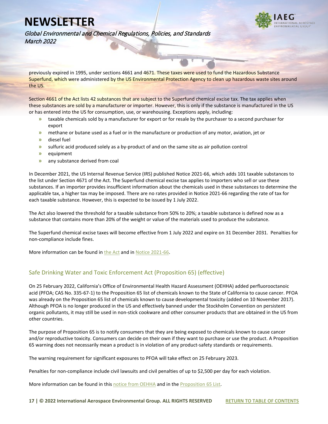

Global Environmental and Chemical Regulations, Policies, and Standards March 2022

previously expired in 1995, under sections 4661 and 4671. These taxes were used to fund the Hazardous Substance Superfund, which were administered by the US Environmental Protection Agency to clean up hazardous waste sites around the US.

Section 4661 of the Act lists 42 substances that are subject to the Superfund chemical excise tax. The tax applies when these substances are sold by a manufacturer or importer. However, this is only if the substance is manufactured in the US or has entered into the US for consumption, use, or warehousing. Exceptions apply, including:

- **»** taxable chemicals sold by a manufacturer for export or for resale by the purchaser to a second purchaser for export
- **»** methane or butane used as a fuel or in the manufacture or production of any motor, aviation, jet or
- **»** diesel fuel
- **»** sulfuric acid produced solely as a by-product of and on the same site as air pollution control
- **»** equipment
- **»** any substance derived from coal

In December 2021, the US Internal Revenue Service (IRS) published Notice 2021-66, which adds 101 taxable substances to the list under Section 4671 of the Act. The Superfund chemical excise tax applies to importers who sell or use these substances. If an importer provides insufficient information about the chemicals used in these substances to determine the applicable tax, a higher tax may be imposed. There are no rates provided in Notice 2021-66 regarding the rate of tax for each taxable substance. However, this is expected to be issued by 1 July 2022.

The Act also lowered the threshold for a taxable substance from 50% to 20%; a taxable substance is defined now as a substance that contains more than 20% of the weight or value of the materials used to produce the substance.

The Superfund chemical excise taxes will become effective from 1 July 2022 and expire on 31 December 2031. Penalties for non-compliance include fines.

More information can be found in [the Act](https://www.congress.gov/bill/117th-congress/house-bill/3684/text) and in Notice 2021-66.

#### <span id="page-17-0"></span>Safe Drinking Water and Toxic Enforcement Act (Proposition 65) (effective)

On 25 February 2022, California's Office of Environmental Health Hazard Assessment (OEHHA) added perfluorooctanoic acid (PFOA; CAS No. 335-67-1) to the Proposition 65 list of chemicals known to the State of California to cause cancer. PFOA was already on the Proposition 65 list of chemicals known to cause developmental toxicity (added on 10 November 2017). Although PFOA is no longer produced in the US and effectively banned under the Stockholm Convention on persistent organic pollutants, it may still be used in non-stick cookware and other consumer products that are obtained in the US from other countries.

The purpose of Proposition 65 is to notify consumers that they are being exposed to chemicals known to cause cancer and/or reproductive toxicity. Consumers can decide on their own if they want to purchase or use the product. A Proposition 65 warning does not necessarily mean a product is in violation of any product-safety standards or requirements.

The warning requirement for significant exposures to PFOA will take effect on 25 February 2023.

Penalties for non-compliance include civil lawsuits and civil penalties of up to \$2,500 per day for each violation.

More information can be found in thi[s notice from OEHHA](https://oehha.ca.gov/proposition-65/crnr/notice-interested-parties-chemical-listed-effective-february-25-2022-known-state) and in th[e Proposition 65 List.](https://oehha.ca.gov/proposition-65/proposition-65-list)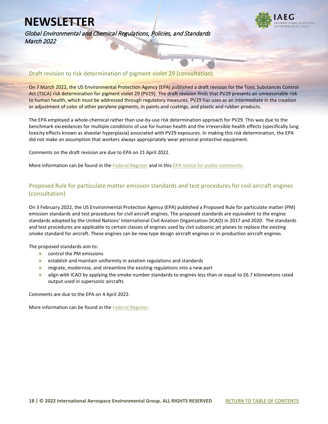

Global Environmental and Chemical Regulations, Policies, and Standards March 2022

#### <span id="page-18-0"></span>Draft revision to risk determination of pigment violet 29 (consultation)

On 7 March 2022, the US Environmental Protection Agency (EPA) published a draft revision for the Toxic Substances Control Act (TSCA) risk determination for pigment violet 29 (PV29). The draft revision finds that PV29 presents an unreasonable risk to human health, which must be addressed through regulatory measures. PV29 has uses as an intermediate in the creation or adjustment of color of other perylene pigments, in paints and coatings, and plastic and rubber products.

The EPA employed a whole-chemical rather than use-by-use risk determination approach for PV29. This was due to the benchmark exceedances for multiple conditions of use for human health and the irreversible health effects (specifically lung toxicity effects known as alveolar hyperplasia) associated with PV29 exposures. In making this risk determination, the EPA did not make an assumption that workers always appropriately wear personal protective equipment.

Comments on the draft revision are due to EPA on 21 April 2022.

More information can be found in th[e Federal Register](https://www.federalregister.gov/documents/2022/03/07/2022-04672/colour-index-pigment-violet-29-pv29-draft-revision-to-toxic-substances-control-act-tsca-risk) and in thi[s EPA notice for public comments.](https://www.epa.gov/chemicals-under-tsca/epa-releases-draft-revised-risk-determination-pv29-public-comment)

#### <span id="page-18-1"></span>Proposed Rule for particulate matter emission standards and test procedures for civil aircraft engines (consultation)

On 3 February 2022, the US Environmental Protection Agency (EPA) published a Proposed Rule for particulate matter (PM) emission standards and test procedures for civil aircraft engines. The proposed standards are equivalent to the engine standards adopted by the United Nations' International Civil Aviation Organization (ICAO) in 2017 and 2020. The standards and test procedures are applicable to certain classes of engines used by civil subsonic jet planes to replace the existing smoke standard for aircraft. These engines can be new type design aircraft engines or in-production aircraft engines.

The proposed standards aim to:

- **»** control the PM emissions
- **»** establish and maintain uniformity in aviation regulations and standards
- **»** migrate, modernize, and streamline the existing regulations into a new part
- **»** align with ICAO by applying the smoke number standards to engines less than or equal to 26.7 kilonewtons rated output used in supersonic aircrafts

Comments are due to the EPA on 4 April 2022.

More information can be found in th[e Federal Register.](https://www.federalregister.gov/documents/2022/02/03/2022-01150/control-of-air-pollution-from-aircraft-engines-emission-standards-and-test-procedures)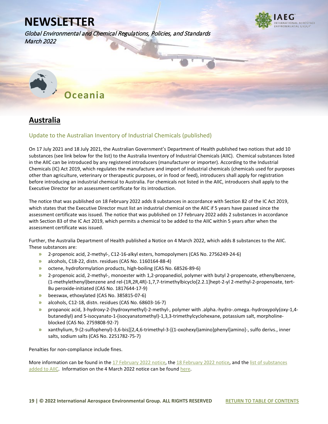Global Environmental and Chemical Regulations, Policies, and Standards March 2022



<span id="page-19-0"></span>

#### <span id="page-19-1"></span>**Australia**

#### <span id="page-19-2"></span>Update to the Australian Inventory of Industrial Chemicals (published)

On 17 July 2021 and 18 July 2021, the Australian Government's Department of Health published two notices that add 10 substances (see link below for the list) to the Australia Inventory of Industrial Chemicals (AIIC). Chemical substances listed in the AIIC can be introduced by any registered introducers (manufacturer or importer). According to the Industrial Chemicals (IC) Act 2019, which regulates the manufacture and import of industrial chemicals (chemicals used for purposes other than agriculture, veterinary or therapeutic purposes, or in food or feed), introducers shall apply for registration before introducing an industrial chemical to Australia. For chemicals not listed in the AIIC, introducers shall apply to the Executive Director for an assessment certificate for its introduction.

The notice that was published on 18 February 2022 adds 8 substances in accordance with Section 82 of the IC Act 2019, which states that the Executive Director must list an industrial chemical on the AIIC if 5 years have passed since the assessment certificate was issued. The notice that was published on 17 February 2022 adds 2 substances in accordance with Section 83 of the IC Act 2019, which permits a chemical to be added to the AIIC within 5 years after when the assessment certificate was issued.

Further, the Australia Department of Health published a Notice on 4 March 2022, which adds 8 substances to the AIIC. These substances are:

- **»** 2-propenoic acid, 2-methyl-, C12-16-alkyl esters, homopolymers (CAS No. 2756249-24-6)
- **»** alcohols, C18-22, distn. residues (CAS No. 1160164-88-4)
- **»** octene, hydroformylation products, high-boiling (CAS No. 68526-89-6)
- **»** 2-propenoic acid, 2-methyl-, monoester with 1,2-propanediol, polymer with butyl 2-propenoate, ethenylbenzene, (1-methylethenyl)benzene and rel-(1R,2R,4R)-1,7,7-trimethylbicyclo[2.2.1]hept-2-yl 2-methyl-2-propenoate, tert-Bu peroxide-initiated (CAS No. 1817644-17-9)
- **»** beeswax, ethoxylated (CAS No. 385815-07-6)
- **»** alcohols, C12-18, distn. residues (CAS No. 68603-16-7)
- **»** propanoic acid, 3-hydroxy-2-(hydroxymethyl)-2-methyl-, polymer with .alpha.-hydro-.omega.-hydroxypoly(oxy-1,4 butanediyl) and 5-isocyanato-1-(isocyanatomethyl)-1,3,3-trimethylcyclohexane, potassium salt, morpholineblocked (CAS No. 2759808-92-7)
- **»** xanthylium, 9-(2-sulfophenyl)-3,6-bis[[2,4,6-trimethyl-3-[(1-oxohexyl)amino]phenyl]amino]-, sulfo derivs., inner salts, sodium salts (CAS No. 2251782-75-7)

Penalties for non-compliance include fines.

More information can be found in the [17 February 2022 notice,](https://www.industrialchemicals.gov.au/news-and-notices/chemicals-added-inventory-following-issue-assessment-certificate-17-february-2022) th[e 18 February 2022 notice,](https://www.industrialchemicals.gov.au/news-and-notices/chemicals-added-inventory-5-years-after-issue-assessment-certificate-18-february-2022) and the list of substances [added to AIIC.](https://www.iaeg.com/binaries/content/assets/iaeg-newsletters/2022/03/aus_list-of-substances-added-to-aiic.pdf) Information on the 4 March 2022 notice can be found [here.](https://www.industrialchemicals.gov.au/news-and-notices/chemicals-added-inventory-5-years-after-issue-assessment-certificate-4-march-2022)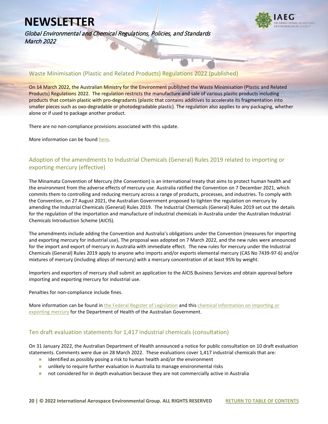

Global Environmental and Chemical Regulations, Policies, and Standards March 2022

#### <span id="page-20-0"></span>Waste Minimisation (Plastic and Related Products) Regulations 2022 (published)

On 14 March 2022, the Australian Ministry for the Environment published the Waste Minimisation (Plastic and Related Products) Regulations 2022. The regulation restricts the manufacture and sale of various plastic products including products that contain plastic with pro-degradants (plastic that contains additives to accelerate its fragmentation into smaller pieces such as oxo-degradable or photodegradable plastic). The regulation also applies to any packaging, whether alone or if used to package another product.

There are no non-compliance provisions associated with this update.

More information can be found [here.](https://legislation.govt.nz/regulation/public/2022/0069/13.0/whole.html)

#### <span id="page-20-1"></span>Adoption of the amendments to Industrial Chemicals (General) Rules 2019 related to importing or exporting mercury (effective)

The Minamata Convention of Mercury (the Convention) is an international treaty that aims to protect human health and the environment from the adverse effects of mercury use. Australia ratified the Convention on 7 December 2021, which commits them to controlling and reducing mercury across a range of products, processes, and industries. To comply with the Convention, on 27 August 2021, the Australian Government proposed to tighten the regulation on mercury by amending the Industrial Chemicals (General) Rules 2019. The Industrial Chemicals (General) Rules 2019 set out the details for the regulation of the importation and manufacture of industrial chemicals in Australia under the Australian Industrial Chemicals Introduction Scheme (AICIS).

The amendments include adding the Convention and Australia's obligations under the Convention (measures for importing and exporting mercury for industrial use). The proposal was adopted on 7 March 2022, and the new rules were announced for the import and export of mercury in Australia with immediate effect. The new rules for mercury under the Industrial Chemicals (General) Rules 2019 apply to anyone who imports and/or exports elemental mercury (CAS No 7439-97-6) and/or mixtures of mercury (including alloys of mercury) with a mercury concentration of at least 95% by weight.

Importers and exporters of mercury shall submit an application to the AICIS Business Services and obtain approval before importing and exporting mercury for industrial use.

Penalties for non-compliance include fines.

More information can be found i[n the Federal Register of Legislation](https://www.legislation.gov.au/Details/F2022C00255) and this chemical information on importing or [exporting mercury](https://www.industrialchemicals.gov.au/chemical-information/banned-or-restricted-chemicals/importing-or-exporting-mercury#submit) for the Department of Health of the Australian Government.

#### <span id="page-20-2"></span>Ten draft evaluation statements for 1,417 industrial chemicals (consultation)

On 31 January 2022, the Australian Department of Health announced a notice for public consultation on 10 draft evaluation statements. Comments were due on 28 March 2022. These evaluations cover 1,417 industrial chemicals that are:

- **»** identified as possibly posing a risk to human health and/or the environment
- **»** unlikely to require further evaluation in Australia to manage environmental risks
- **»** not considered for in depth evaluation because they are not commercially active in Australia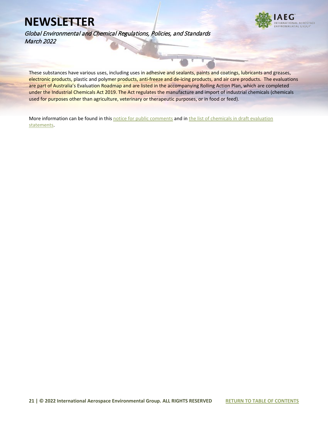

Global Environmental and Chemical Regulations, Policies, and Standards March 2022

These substances have various uses, including uses in adhesive and sealants, paints and coatings, lubricants and greases, electronic products, plastic and polymer products, anti-freeze and de-icing products, and air care products. The evaluations are part of Australia's Evaluation Roadmap and are listed in the accompanying Rolling Action Plan, which are completed under the Industrial Chemicals Act 2019. The Act regulates the manufacture and import of industrial chemicals (chemicals used for purposes other than agriculture, veterinary or therapeutic purposes, or in food or feed).

More information can be found in this notice [for public comments](https://www.industrialchemicals.gov.au/consultations/draft-evaluations-have-your-say-closed-28-march-2022) and in the list of chemicals in draft evaluation [statements.](https://www.iaeg.com/binaries/content/assets/iaeg-newsletters/2022/03/aus_list-of-chemicals-in-draft-evaluation-statements.pdf)